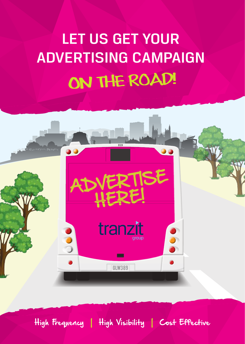# LET US GET YOUR ADVERTISING CAMPAIGN ON THE ROAD!



High Frequency | High Visibility | Cost Effective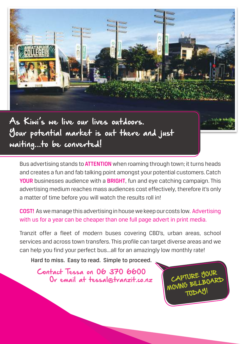

As Kiwi's we live our lives outdoors. Your potential market is out there and just waiting...to be converted!

Bus advertising stands to **ATTENTION** when roaming through town; it turns heads and creates a fun and fab talking point amongst your potential customers. Catch YOUR businesses audience with a BRIGHT, fun and eye catching campaign. This advertising medium reaches mass audiences cost effectively, therefore it's only a matter of time before you will watch the results roll in!

COST! As we manage this advertising in house we keep our costs low. Advertising with us for a year can be cheaper than one full page advert in print media.

Tranzit offer a fleet of modern buses covering CBD's, urban areas, school services and across town transfers. This profile can target diverse areas and we can help you find your perfect bus...all for an amazingly low monthly rate!

Hard to miss. Easy to read. Simple to proceed.

Contact Tessa on 06 370 6600 Or email at tessal@tranzit.co.nz

CAPTURE YOUR CAPTURE BOARD **TODAY**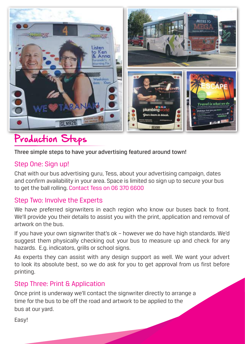

#### Production Steps

#### Three simple steps to have your advertising featured around town!

#### Step One: Sign up!

Chat with our bus advertising guru, Tess, about your advertising campaign, dates and confirm availability in your area. Space is limited so sign up to secure your bus to get the ball rolling. Contact Tess on 06 370 6600

#### Step Two: Involve the Experts

We have preferred signwriters in each region who know our buses back to front. We'll provide you their details to assist you with the print, application and removal of artwork on the bus.

If you have your own signwriter that's ok – however we do have high standards. We'd suggest them physically checking out your bus to measure up and check for any hazards. E.g. indicators, grills or school signs.

As experts they can assist with any design support as well. We want your advert to look its absolute best, so we do ask for you to get approval from us first before printing.

#### Step Three: Print & Application

Once print is underway we'll contact the signwriter directly to arrange a time for the bus to be off the road and artwork to be applied to the bus at our yard.

Easy!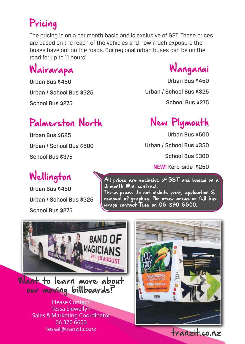### Pricing

The pricing is on a per month basis and is exclusive of GST. These prices are based on the reach of the vehicles and how much exposure the buses have out on the roads. Our regional urban buses can be on the road for up to 11 hours!

### Wairarapa

Urban Bus \$450 Urban / School Bus \$325 School Bus \$275

#### Palmerston North

Urban Bus \$625 Urban / School Bus \$500 School Bus \$375

### Wellington

Urban Bus \$450 Urban / School Bus \$325 School Bus \$275



Urban Bus \$450 Urban / School Bus \$325 School Bus \$275

### New Plymouth

Urban Bus \$500

Urban / School Bus \$350

School Bus \$300

NEW! Kerb-side \$250

All prices are exclusive of GST and based on a 3 month Min. contract. These prices do not include print, application & removal of graphics. For other areas or full bus wraps contact Tess on 06 370 6600.



Want to learn more about our moving billboards?

> Please Contact: Tessa Llewellyn Sales & Marketing Coordinator 06 370 6600